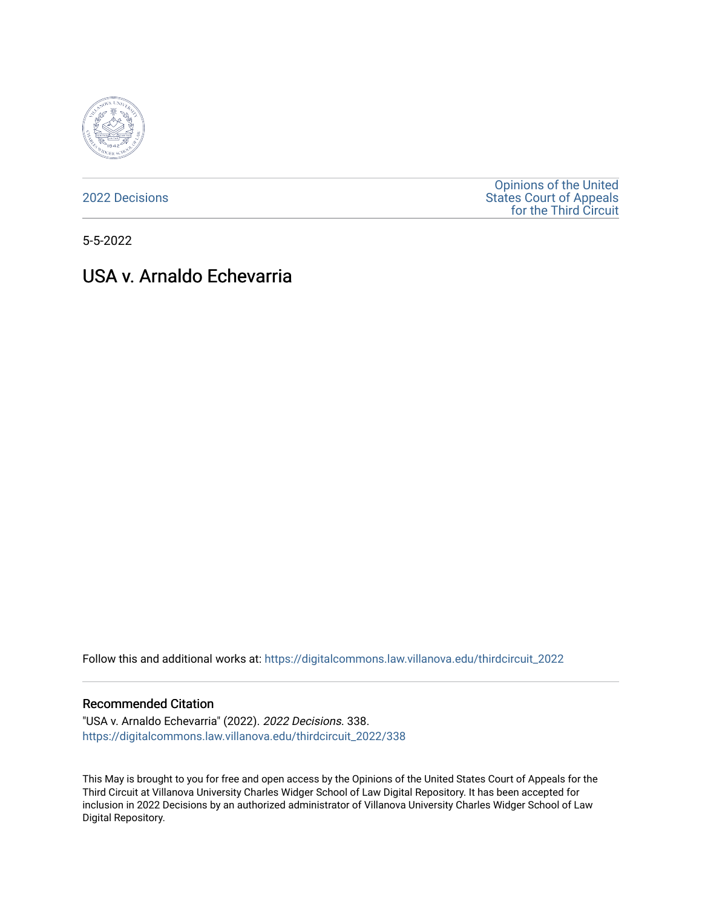

[2022 Decisions](https://digitalcommons.law.villanova.edu/thirdcircuit_2022)

[Opinions of the United](https://digitalcommons.law.villanova.edu/thirdcircuit)  [States Court of Appeals](https://digitalcommons.law.villanova.edu/thirdcircuit)  [for the Third Circuit](https://digitalcommons.law.villanova.edu/thirdcircuit) 

5-5-2022

# USA v. Arnaldo Echevarria

Follow this and additional works at: [https://digitalcommons.law.villanova.edu/thirdcircuit\\_2022](https://digitalcommons.law.villanova.edu/thirdcircuit_2022?utm_source=digitalcommons.law.villanova.edu%2Fthirdcircuit_2022%2F338&utm_medium=PDF&utm_campaign=PDFCoverPages) 

#### Recommended Citation

"USA v. Arnaldo Echevarria" (2022). 2022 Decisions. 338. [https://digitalcommons.law.villanova.edu/thirdcircuit\\_2022/338](https://digitalcommons.law.villanova.edu/thirdcircuit_2022/338?utm_source=digitalcommons.law.villanova.edu%2Fthirdcircuit_2022%2F338&utm_medium=PDF&utm_campaign=PDFCoverPages)

This May is brought to you for free and open access by the Opinions of the United States Court of Appeals for the Third Circuit at Villanova University Charles Widger School of Law Digital Repository. It has been accepted for inclusion in 2022 Decisions by an authorized administrator of Villanova University Charles Widger School of Law Digital Repository.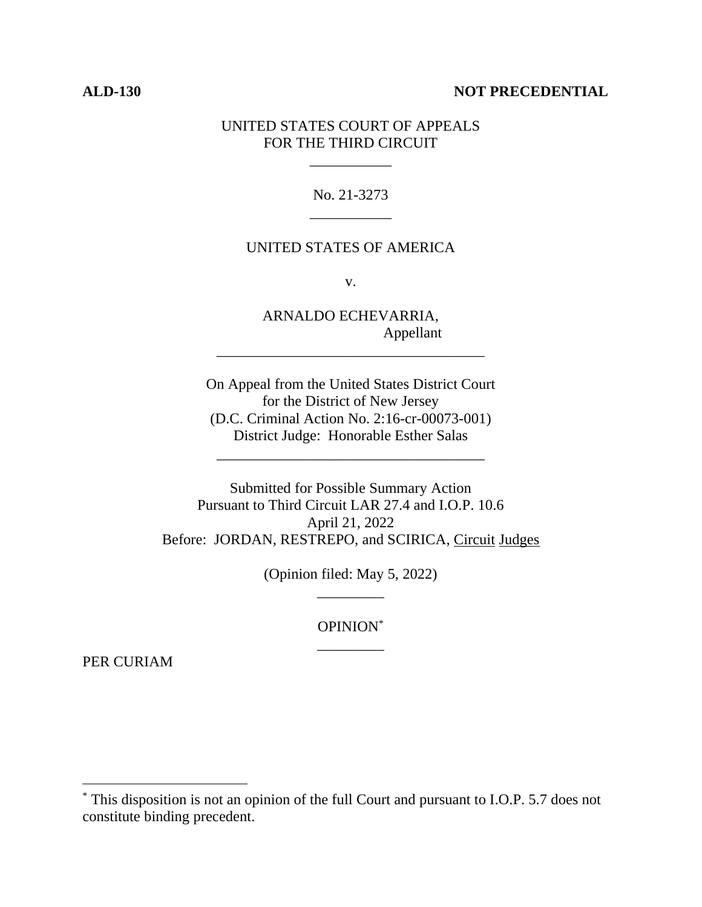#### **ALD-130 NOT PRECEDENTIAL**

## UNITED STATES COURT OF APPEALS FOR THE THIRD CIRCUIT

\_\_\_\_\_\_\_\_\_\_\_

No. 21-3273 \_\_\_\_\_\_\_\_\_\_\_

## UNITED STATES OF AMERICA

v.

ARNALDO ECHEVARRIA, Appellant

\_\_\_\_\_\_\_\_\_\_\_\_\_\_\_\_\_\_\_\_\_\_\_\_\_\_\_\_\_\_\_\_\_\_\_\_

On Appeal from the United States District Court for the District of New Jersey (D.C. Criminal Action No. 2:16-cr-00073-001) District Judge: Honorable Esther Salas

\_\_\_\_\_\_\_\_\_\_\_\_\_\_\_\_\_\_\_\_\_\_\_\_\_\_\_\_\_\_\_\_\_\_\_\_

Submitted for Possible Summary Action Pursuant to Third Circuit LAR 27.4 and I.O.P. 10.6 April 21, 2022 Before: JORDAN, RESTREPO, and SCIRICA, Circuit Judges

> (Opinion filed: May 5, 2022) \_\_\_\_\_\_\_\_\_

> > OPINION\* \_\_\_\_\_\_\_\_\_

PER CURIAM

<sup>\*</sup> This disposition is not an opinion of the full Court and pursuant to I.O.P. 5.7 does not constitute binding precedent.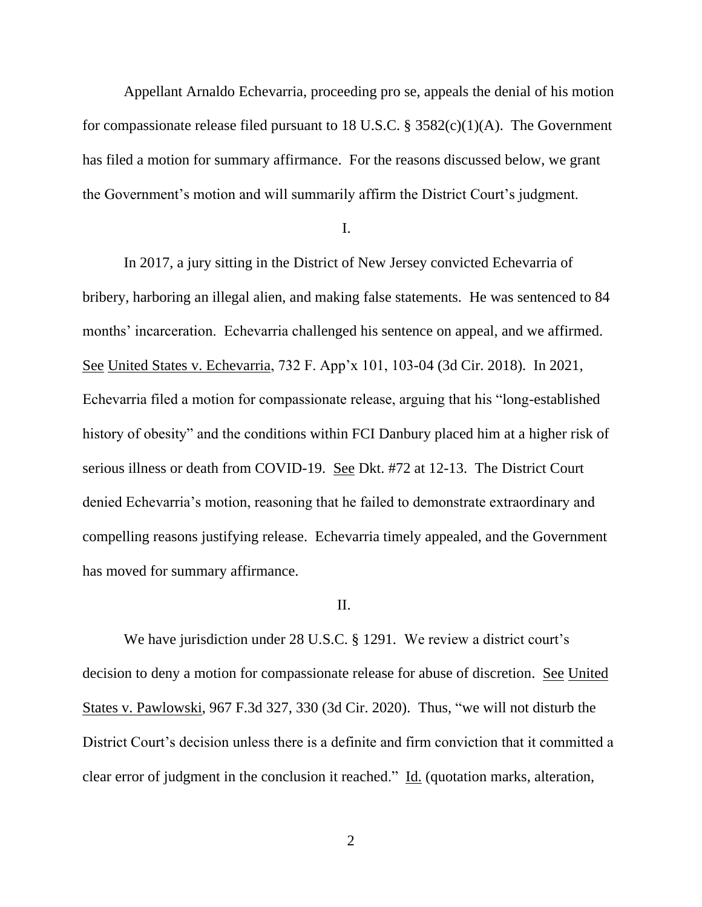Appellant Arnaldo Echevarria, proceeding pro se, appeals the denial of his motion for compassionate release filed pursuant to 18 U.S.C.  $\S$  3582(c)(1)(A). The Government has filed a motion for summary affirmance. For the reasons discussed below, we grant the Government's motion and will summarily affirm the District Court's judgment.

I.

In 2017, a jury sitting in the District of New Jersey convicted Echevarria of bribery, harboring an illegal alien, and making false statements. He was sentenced to 84 months' incarceration. Echevarria challenged his sentence on appeal, and we affirmed. See United States v. Echevarria, 732 F. App'x 101, 103-04 (3d Cir. 2018). In 2021, Echevarria filed a motion for compassionate release, arguing that his "long-established history of obesity" and the conditions within FCI Danbury placed him at a higher risk of serious illness or death from COVID-19. See Dkt. #72 at 12-13. The District Court denied Echevarria's motion, reasoning that he failed to demonstrate extraordinary and compelling reasons justifying release. Echevarria timely appealed, and the Government has moved for summary affirmance.

## II.

We have jurisdiction under 28 U.S.C. § 1291. We review a district court's decision to deny a motion for compassionate release for abuse of discretion. See United States v. Pawlowski, 967 F.3d 327, 330 (3d Cir. 2020). Thus, "we will not disturb the District Court's decision unless there is a definite and firm conviction that it committed a clear error of judgment in the conclusion it reached." Id. (quotation marks, alteration,

2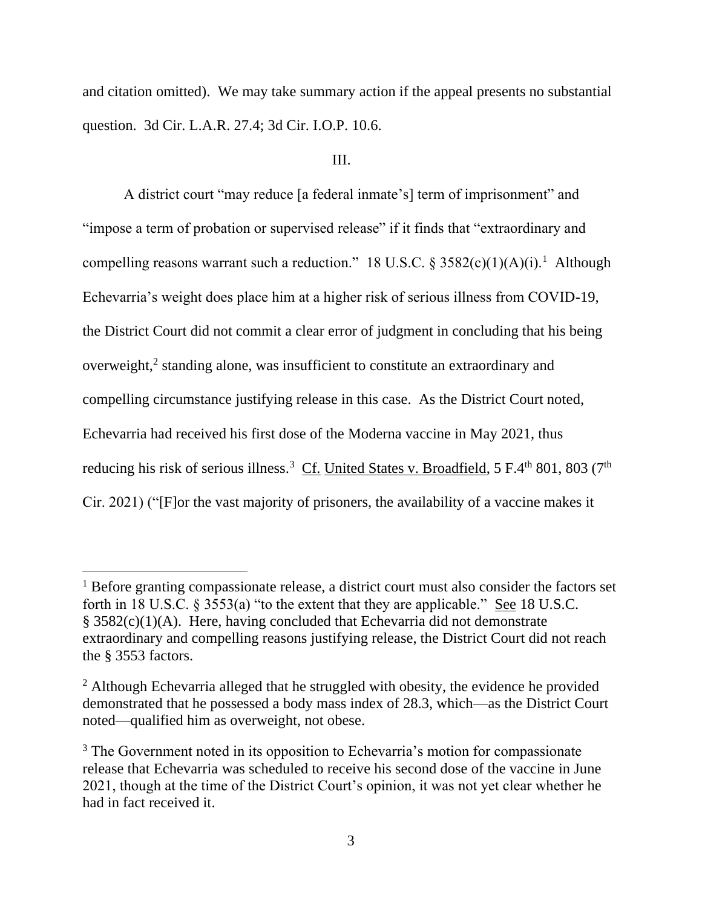and citation omitted). We may take summary action if the appeal presents no substantial question. 3d Cir. L.A.R. 27.4; 3d Cir. I.O.P. 10.6.

#### III.

A district court "may reduce [a federal inmate's] term of imprisonment" and "impose a term of probation or supervised release" if it finds that "extraordinary and compelling reasons warrant such a reduction." 18 U.S.C. §  $3582(c)(1)(A)(i)$ .<sup>1</sup> Although Echevarria's weight does place him at a higher risk of serious illness from COVID-19, the District Court did not commit a clear error of judgment in concluding that his being overweight,<sup>2</sup> standing alone, was insufficient to constitute an extraordinary and compelling circumstance justifying release in this case. As the District Court noted, Echevarria had received his first dose of the Moderna vaccine in May 2021, thus reducing his risk of serious illness.<sup>3</sup> Cf. United States v. Broadfield, 5 F.4<sup>th</sup> 801, 803 (7<sup>th</sup> Cir. 2021) ("[F]or the vast majority of prisoners, the availability of a vaccine makes it

<sup>&</sup>lt;sup>1</sup> Before granting compassionate release, a district court must also consider the factors set forth in 18 U.S.C. § 3553(a) "to the extent that they are applicable." See 18 U.S.C.  $§$  3582(c)(1)(A). Here, having concluded that Echevarria did not demonstrate extraordinary and compelling reasons justifying release, the District Court did not reach the § 3553 factors.

<sup>&</sup>lt;sup>2</sup> Although Echevarria alleged that he struggled with obesity, the evidence he provided demonstrated that he possessed a body mass index of 28.3, which—as the District Court noted—qualified him as overweight, not obese.

<sup>&</sup>lt;sup>3</sup> The Government noted in its opposition to Echevarria's motion for compassionate release that Echevarria was scheduled to receive his second dose of the vaccine in June 2021, though at the time of the District Court's opinion, it was not yet clear whether he had in fact received it.